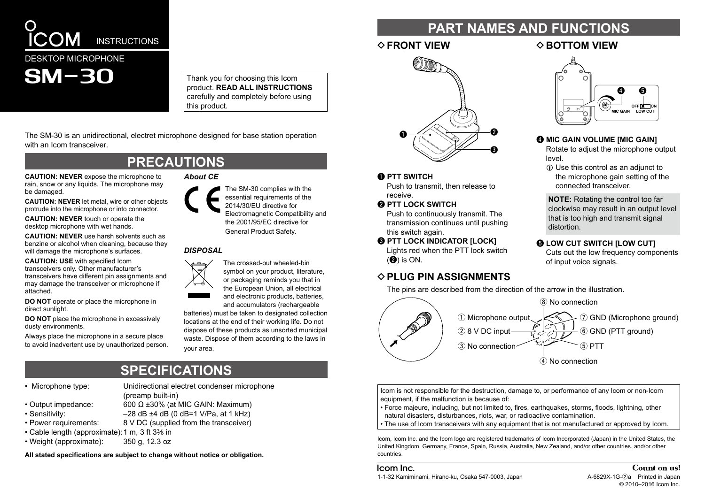

Thank you for choosing this Icom **Droduct. READ ALL INSTRUCTIONS** carefully and completely before using this product.

The SM-30 is an unidirectional, electret microphone designed for base station operation with an Icom transceiver

## **PRECAUTIONS**

**CAUTION: NEVER expose the microphone to** rain, snow or any liquids. The microphone may be damaged.

**CAUTION: NEVER let metal, wire or other objects** protrude into the microphone or into connector.

**CAUTION: NEVER touch or operate the** desktop microphone with wet hands.

**CAUTION: NEVER** use harsh solvents such as benzine or alcohol when cleaning, because they will damage the microphone's surfaces.

**CAUTION: USE with specified lcom** transceivers only. Other manufacturer's transceivers have different pin assignments and may damage the transceiver or microphone if .attached

**DO NOT** operate or place the microphone in direct sunlight

**DO NOT** place the microphone in excessively dusty environments.

Always place the microphone in a secure place to avoid inadvertent use by unauthorized person.

# *DISPOSAL*

**About** CE

The crossed-out wheeled-bin symbol on your product, literature, or packaging reminds you that in the European Union, all electrical and electronic products, batteries.

The SM-30 complies with the essential requirements of the 2014/30/EU directive for

Electromagnetic Compatibility and the  $2001/95$ / $FC$  directive for General Product Safety.

and accumulators (rechargeable batteries) must be taken to designated collection locations at the end of their working life. Do not dispose of these products as unsorted municipal waste. Dispose of them according to the laws in vour area.

# **SPECIFICATIONS**

• Microphone type: Unidirectional electret condenser microphone

## • Output impedance:  $600 \Omega \pm 30\%$  (at MIC GAIN: Maximum)

- Sensitivity:  $-28$  dB  $+4$  dB  $(0$  dB  $=1$  V/Pa, at 1 kHz)
- Power requirements: 8 V DC (supplied from the transceiver)
- Cable length (approximate): 1 m, 3 ft 3% in
- Weight (approximate): 350 g. 12.3 oz

All stated specifications are subject to change without notice or obligation.

 $(preamp$ built-in $)$ 

# **FART NAMES AND FUNCTIONS**

## $\Diamond$  **FRONT VIEW**  $\Diamond$  **BOTTOM VIEW**



**O** PTT SWITCH

Push to transmit, then release to .receive

**@ PTT LOCK SWITCH** 

Push to continuously transmit. The transmission continues until pushing this switch again.

**6 PTT LOCK INDICATOR [LOCK]** Lights red when the PTT lock switch  $(②)$  is ON.

## $\Diamond$  **PLUG PIN ASSIGNMENTS**

The pins are described from the direction of the arrow in the illustration.



Icom is not responsible for the destruction, damage to, or performance of any Icom or non-Icom equipment, if the malfunction is because of:

• Force majeure, including, but not limited to, fires, earthquakes, storms, floods, lightning, other natural disasters, disturbances, riots, war, or radioactive contamination.

• The use of Icom transceivers with any equipment that is not manufactured or approved by Icom.

Icom, Icom Inc. and the Icom logo are registered trademarks of Icom Incorporated (Japan) in the United States, the United Kingdom, Germany, France, Spain, Russia, Australia, New Zealand, and/or other countries, and/or other .countries

#### Icom Inc. 1-1-32 Kamiminami, Hirano-ku, Osaka 547-0003, Japan 54829 Marting A-6829X-1G-2a Printed in Japan

## Count on us!  $© 2010-2016$  Icom Inc.



## **@ MIC GAIN VOLUME IMIC GAIN1**

Rotate to adjust the microphone output .level

**1** Use this control as an adjunct to the microphone gain setting of the connected transceiver

**NOTE:** Rotating the control too far clockwise may result in an output level that is too high and transmit signal distortion.

## **6 LOW CUT SWITCH [LOW CUT]**

Cuts out the low frequency components of input voice signals.